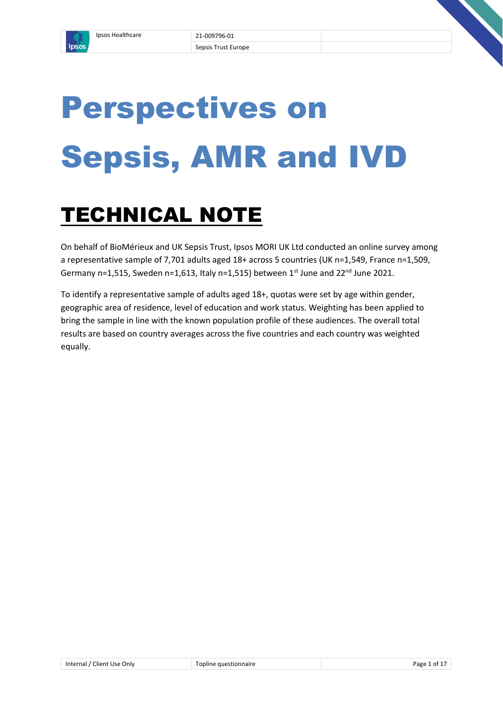

# Perspectives on Sepsis, AMR and IVD

# TECHNICAL NOTE

On behalf of BioMérieux and UK Sepsis Trust, Ipsos MORI UK Ltd conducted an online survey among a representative sample of 7,701 adults aged 18+ across 5 countries (UK n=1,549, France n=1,509, Germany n=1,515, Sweden n=1,613, Italy n=1,515) between  $1^{st}$  June and  $22^{nd}$  June 2021.

To identify a representative sample of adults aged 18+, quotas were set by age within gender, geographic area of residence, level of education and work status. Weighting has been applied to bring the sample in line with the known population profile of these audiences. The overall total results are based on country averages across the five countries and each country was weighted equally.

| ' Client Use Only<br>Internal / | estionnaire<br>זוור | ה הנ<br>∩Ť |
|---------------------------------|---------------------|------------|
|                                 |                     |            |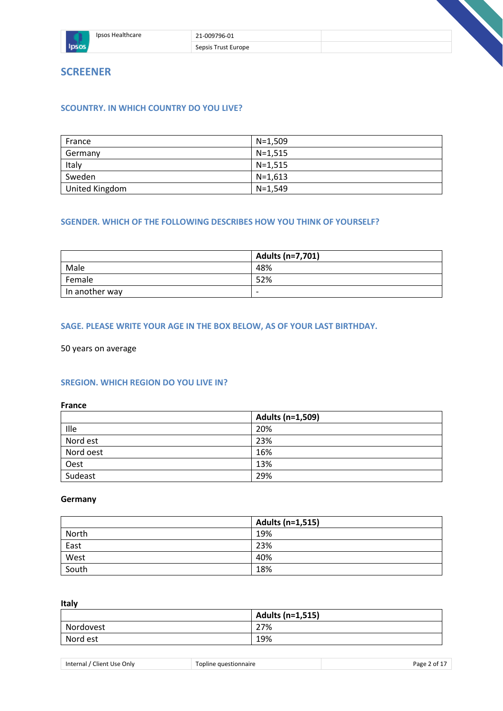

# **SCOUNTRY. IN WHICH COUNTRY DO YOU LIVE?**

| France         | N=1.509 |
|----------------|---------|
| Germany        | N=1.515 |
| Italy          | N=1.515 |
| Sweden         | N=1.613 |
| United Kingdom | N=1.549 |

## **SGENDER. WHICH OF THE FOLLOWING DESCRIBES HOW YOU THINK OF YOURSELF?**

|                | Adults (n=7,701) |
|----------------|------------------|
| Male           | 48%              |
| Female         | 52%              |
| In another way | -                |

#### **SAGE. PLEASE WRITE YOUR AGE IN THE BOX BELOW, AS OF YOUR LAST BIRTHDAY.**

50 years on average

#### **SREGION. WHICH REGION DO YOU LIVE IN?**

**France**

|           | Adults (n=1,509) |
|-----------|------------------|
| Ille      | 20%              |
| Nord est  | 23%              |
| Nord oest | 16%              |
| Oest      | 13%              |
| Sudeast   | 29%              |

#### **Germany**

|       | Adults (n=1,515) |
|-------|------------------|
| North | 19%              |
| East  | 23%              |
| West  | 40%              |
| South | 18%              |

**Italy**

|           | Adults (n=1,515) |
|-----------|------------------|
| Nordovest | 27%              |
| Nord est  | 19%              |

| ' Client Use Only | $\overline{\phantom{0}}$ | Page   |
|-------------------|--------------------------|--------|
| Internal /        | Fopline questionnaire    | 2 of 1 |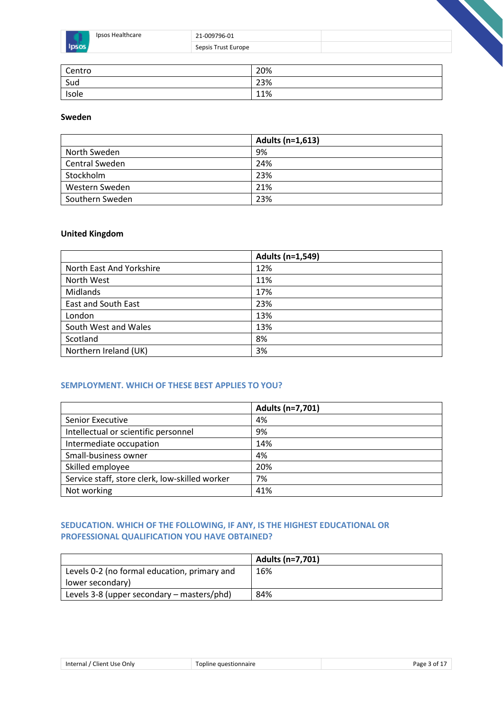| Healthcare | 21-009796-01        |  |
|------------|---------------------|--|
|            | Sepsis Trust Europe |  |

| Centro | 20% |
|--------|-----|
| Sud    | 23% |
| Isole  | 11% |

## **Sweden**

|                       | Adults (n=1,613) |
|-----------------------|------------------|
| North Sweden          | 9%               |
| <b>Central Sweden</b> | 24%              |
| Stockholm             | 23%              |
| Western Sweden        | 21%              |
| Southern Sweden       | 23%              |

# **United Kingdom**

|                            | Adults (n=1,549) |
|----------------------------|------------------|
| North East And Yorkshire   | 12%              |
| North West                 | 11%              |
| <b>Midlands</b>            | 17%              |
| <b>East and South East</b> | 23%              |
| London                     | 13%              |
| South West and Wales       | 13%              |
| Scotland                   | 8%               |
| Northern Ireland (UK)      | 3%               |

#### **SEMPLOYMENT. WHICH OF THESE BEST APPLIES TO YOU?**

|                                                | Adults (n=7,701) |
|------------------------------------------------|------------------|
| Senior Executive                               | 4%               |
| Intellectual or scientific personnel           | 9%               |
| Intermediate occupation                        | 14%              |
| Small-business owner                           | 4%               |
| Skilled employee                               | 20%              |
| Service staff, store clerk, low-skilled worker | 7%               |
| Not working                                    | 41%              |

# **SEDUCATION. WHICH OF THE FOLLOWING, IF ANY, IS THE HIGHEST EDUCATIONAL OR PROFESSIONAL QUALIFICATION YOU HAVE OBTAINED?**

|                                              | Adults (n=7,701) |
|----------------------------------------------|------------------|
| Levels 0-2 (no formal education, primary and | 16%              |
| lower secondary)                             |                  |
| Levels 3-8 (upper secondary – masters/phd)   | 84%              |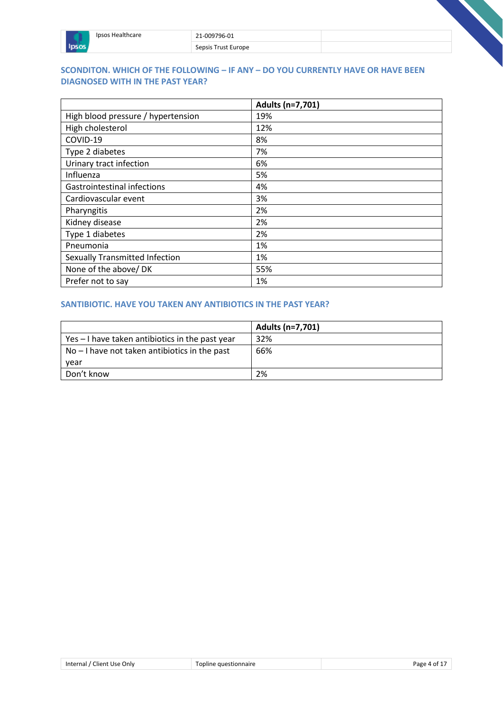| Ipsos Healthcare | 21-009796-01        |  |
|------------------|---------------------|--|
|                  | Sepsis Trust Europe |  |

# **SCONDITON. WHICH OF THE FOLLOWING – IF ANY – DO YOU CURRENTLY HAVE OR HAVE BEEN DIAGNOSED WITH IN THE PAST YEAR?**

|                                    | Adults (n=7,701) |
|------------------------------------|------------------|
| High blood pressure / hypertension | 19%              |
| High cholesterol                   | 12%              |
| COVID-19                           | 8%               |
| Type 2 diabetes                    | 7%               |
| Urinary tract infection            | 6%               |
| Influenza                          | 5%               |
| Gastrointestinal infections        | 4%               |
| Cardiovascular event               | 3%               |
| Pharyngitis                        | 2%               |
| Kidney disease                     | 2%               |
| Type 1 diabetes                    | 2%               |
| Pneumonia                          | 1%               |
| Sexually Transmitted Infection     | 1%               |
| None of the above/ DK              | 55%              |
| Prefer not to say                  | 1%               |

# **SANTIBIOTIC. HAVE YOU TAKEN ANY ANTIBIOTICS IN THE PAST YEAR?**

|                                                 | Adults (n=7,701) |
|-------------------------------------------------|------------------|
| Yes – I have taken antibiotics in the past year | 32%              |
| $No - I$ have not taken antibiotics in the past | 66%              |
| year                                            |                  |
| Don't know                                      | 2%               |

| Internal / Client Use Only | Topline questionnaire | Page 4 of 1 |
|----------------------------|-----------------------|-------------|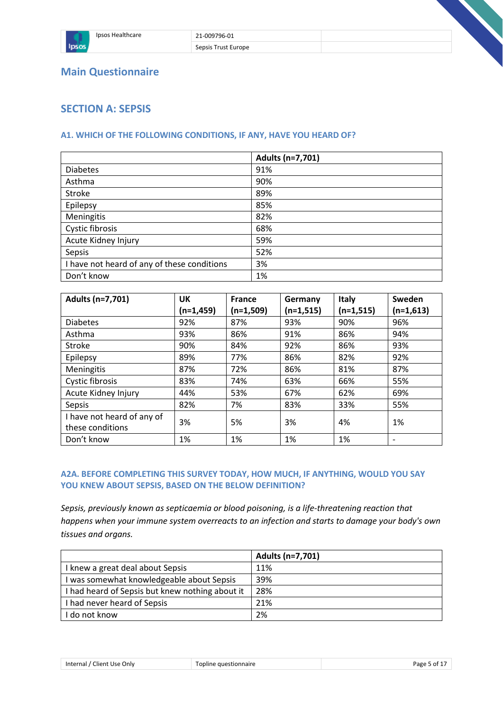

# **Main Questionnaire**

# **SECTION A: SEPSIS**

# **A1. WHICH OF THE FOLLOWING CONDITIONS, IF ANY, HAVE YOU HEARD OF?**

|                                             | Adults (n=7,701) |
|---------------------------------------------|------------------|
| <b>Diabetes</b>                             | 91%              |
| Asthma                                      | 90%              |
| <b>Stroke</b>                               | 89%              |
| Epilepsy                                    | 85%              |
| Meningitis                                  | 82%              |
| Cystic fibrosis                             | 68%              |
| Acute Kidney Injury                         | 59%              |
| Sepsis                                      | 52%              |
| I have not heard of any of these conditions | 3%               |
| Don't know                                  | 1%               |

| Adults (n=7,701)           | <b>UK</b>   | <b>France</b> | Germany     | Italy       | Sweden                   |
|----------------------------|-------------|---------------|-------------|-------------|--------------------------|
|                            | $(n=1,459)$ | $(n=1,509)$   | $(n=1,515)$ | $(n=1,515)$ | $(n=1,613)$              |
| <b>Diabetes</b>            | 92%         | 87%           | 93%         | 90%         | 96%                      |
| Asthma                     | 93%         | 86%           | 91%         | 86%         | 94%                      |
| Stroke                     | 90%         | 84%           | 92%         | 86%         | 93%                      |
| Epilepsy                   | 89%         | 77%           | 86%         | 82%         | 92%                      |
| Meningitis                 | 87%         | 72%           | 86%         | 81%         | 87%                      |
| <b>Cystic fibrosis</b>     | 83%         | 74%           | 63%         | 66%         | 55%                      |
| Acute Kidney Injury        | 44%         | 53%           | 67%         | 62%         | 69%                      |
| Sepsis                     | 82%         | 7%            | 83%         | 33%         | 55%                      |
| I have not heard of any of | 3%          | 5%            | 3%          | 4%          | 1%                       |
| these conditions           |             |               |             |             |                          |
| Don't know                 | 1%          | 1%            | 1%          | 1%          | $\overline{\phantom{a}}$ |

# **A2A. BEFORE COMPLETING THIS SURVEY TODAY, HOW MUCH, IF ANYTHING, WOULD YOU SAY YOU KNEW ABOUT SEPSIS, BASED ON THE BELOW DEFINITION?**

*Sepsis, previously known as septicaemia or blood poisoning, is a life-threatening reaction that happens when your immune system overreacts to an infection and starts to damage your body's own tissues and organs.*

|                                                 | Adults (n=7,701) |
|-------------------------------------------------|------------------|
| I knew a great deal about Sepsis                | 11%              |
| I was somewhat knowledgeable about Sepsis       | 39%              |
| I had heard of Sepsis but knew nothing about it | 28%              |
| I had never heard of Sepsis                     | 21%              |
| I do not know                                   | 2%               |

| auestionnaire<br>Use Only<br>Internal<br>∶lient I<br>ווור | ∩t<br>age |
|-----------------------------------------------------------|-----------|
|-----------------------------------------------------------|-----------|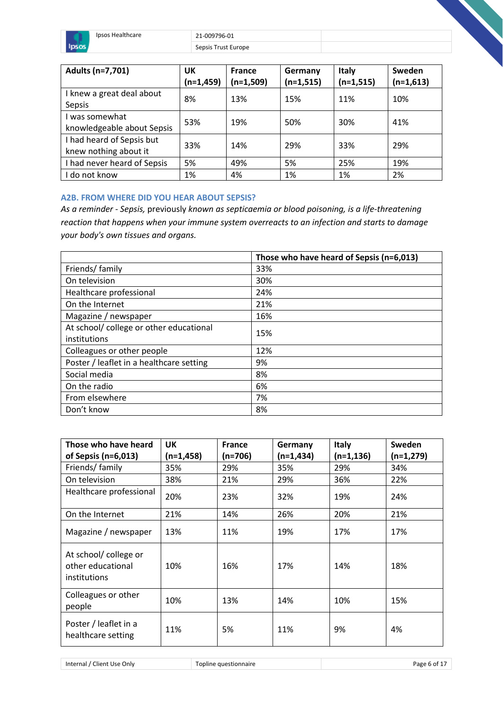

 $S\epsilon$ 

|  | epsis Trust Europe |
|--|--------------------|
|  |                    |

| Adults (n=7,701)                                   | UK<br>$(n=1,459)$ | <b>France</b><br>$(n=1,509)$ | Germany<br>$(n=1,515)$ | <b>Italy</b><br>$(n=1,515)$ | <b>Sweden</b><br>$(n=1,613)$ |
|----------------------------------------------------|-------------------|------------------------------|------------------------|-----------------------------|------------------------------|
| I knew a great deal about<br>Sepsis                | 8%                | 13%                          | 15%                    | 11%                         | 10%                          |
| I was somewhat<br>knowledgeable about Sepsis       | 53%               | 19%                          | 50%                    | 30%                         | 41%                          |
| I had heard of Sepsis but<br>knew nothing about it | 33%               | 14%                          | 29%                    | 33%                         | 29%                          |
| I had never heard of Sepsis                        | 5%                | 49%                          | 5%                     | 25%                         | 19%                          |
| do not know                                        | 1%                | 4%                           | 1%                     | 1%                          | 2%                           |

#### **A2B. FROM WHERE DID YOU HEAR ABOUT SEPSIS?**

*As a reminder - Sepsis,* previously *known as septicaemia or blood poisoning, is a life-threatening reaction that happens when your immune system overreacts to an infection and starts to damage your body's own tissues and organs.*

|                                          | Those who have heard of Sepsis (n=6,013) |
|------------------------------------------|------------------------------------------|
| Friends/ family                          | 33%                                      |
| On television                            | 30%                                      |
| Healthcare professional                  | 24%                                      |
| On the Internet                          | 21%                                      |
| Magazine / newspaper                     | 16%                                      |
| At school/college or other educational   | 15%                                      |
| institutions                             |                                          |
| Colleagues or other people               | 12%                                      |
| Poster / leaflet in a healthcare setting | 9%                                       |
| Social media                             | 8%                                       |
| On the radio                             | 6%                                       |
| From elsewhere                           | 7%                                       |
| Don't know                               | 8%                                       |

| Those who have heard                                      | <b>UK</b>   | <b>France</b> | Germany   | <b>Italy</b> | <b>Sweden</b> |
|-----------------------------------------------------------|-------------|---------------|-----------|--------------|---------------|
| of Sepsis (n=6,013)                                       | $(n=1,458)$ | (n=706)       | (n=1,434) | $(n=1, 136)$ | $(n=1,279)$   |
| Friends/ family                                           | 35%         | 29%           | 35%       | 29%          | 34%           |
| On television                                             | 38%         | 21%           | 29%       | 36%          | 22%           |
| Healthcare professional                                   | 20%         | 23%           | 32%       | 19%          | 24%           |
| On the Internet                                           | 21%         | 14%           | 26%       | 20%          | 21%           |
| Magazine / newspaper                                      | 13%         | 11%           | 19%       | 17%          | 17%           |
| At school/college or<br>other educational<br>institutions | 10%         | 16%           | 17%       | 14%          | 18%           |
| Colleagues or other<br>people                             | 10%         | 13%           | 14%       | 10%          | 15%           |
| Poster / leaflet in a<br>healthcare setting               | 11%         | 5%            | 11%       | 9%           | 4%            |

Internal / Client Use Only Topline questionnaire **Page 6 of 17** and 17 and 17 and 18 and 17 and 18 and 17 and 18 and 18 and 18 and 18 and 18 and 18 and 18 and 18 and 18 and 18 and 18 and 18 and 18 and 18 and 18 and 18 and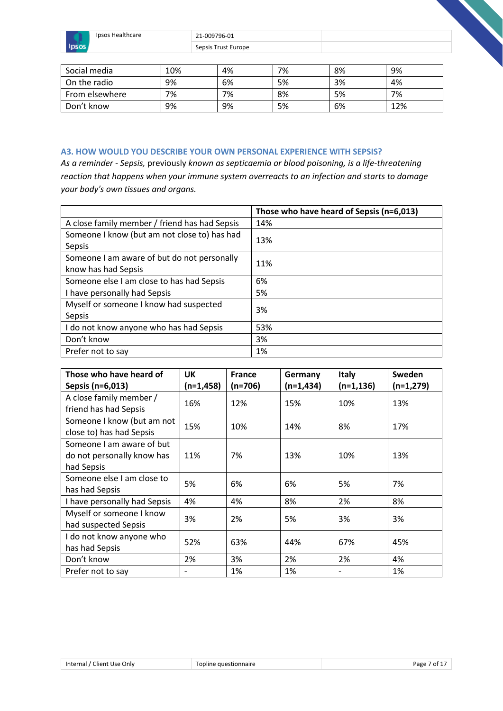

Ipsos Healthcare 21-009796-01

Sepsis Trust Europe

| Social media   | 10% | 4% | 7% | 8% | 9%  |
|----------------|-----|----|----|----|-----|
| On the radio   | 9%  | 6% | 5% | 3% | 4%  |
| From elsewhere | 7%  | 7% | 8% | 5% | 7%  |
| Don't know     | 9%  | 9% | 5% | 6% | 12% |

#### **A3. HOW WOULD YOU DESCRIBE YOUR OWN PERSONAL EXPERIENCE WITH SEPSIS?**

*As a reminder - Sepsis,* previously *known as septicaemia or blood poisoning, is a life-threatening reaction that happens when your immune system overreacts to an infection and starts to damage your body's own tissues and organs.*

|                                               | Those who have heard of Sepsis (n=6,013) |
|-----------------------------------------------|------------------------------------------|
| A close family member / friend has had Sepsis | 14%                                      |
| Someone I know (but am not close to) has had  | 13%                                      |
| Sepsis                                        |                                          |
| Someone I am aware of but do not personally   | 11%                                      |
| know has had Sepsis                           |                                          |
| Someone else I am close to has had Sepsis     | 6%                                       |
| I have personally had Sepsis                  | 5%                                       |
| Myself or someone I know had suspected        | 3%                                       |
| Sepsis                                        |                                          |
| I do not know anyone who has had Sepsis       | 53%                                      |
| Don't know                                    | 3%                                       |
| Prefer not to say                             | 1%                                       |

| Those who have heard of      | UK                       | <b>France</b> | Germany     | <b>Italy</b> | Sweden      |
|------------------------------|--------------------------|---------------|-------------|--------------|-------------|
| Sepsis (n=6,013)             | $(n=1,458)$              | $(n=706)$     | $(n=1,434)$ | $(n=1, 136)$ | $(n=1,279)$ |
| A close family member /      | 16%                      | 12%           | 15%         | 10%          | 13%         |
| friend has had Sepsis        |                          |               |             |              |             |
| Someone I know (but am not   | 15%                      | 10%           | 14%         | 8%           | 17%         |
| close to) has had Sepsis     |                          |               |             |              |             |
| Someone I am aware of but    |                          |               |             |              |             |
| do not personally know has   | 11%                      | 7%            | 13%         | 10%          | 13%         |
| had Sepsis                   |                          |               |             |              |             |
| Someone else I am close to   | 5%                       | 6%            | 6%          | 5%           | 7%          |
| has had Sepsis               |                          |               |             |              |             |
| I have personally had Sepsis | 4%                       | 4%            | 8%          | 2%           | 8%          |
| Myself or someone I know     | 3%                       | 2%            | 5%          | 3%           | 3%          |
| had suspected Sepsis         |                          |               |             |              |             |
| I do not know anyone who     | 52%                      | 63%           | 44%         | 67%          | 45%         |
| has had Sepsis               |                          |               |             |              |             |
| Don't know                   | 2%                       | 3%            | 2%          | 2%           | 4%          |
| Prefer not to say            | $\overline{\phantom{0}}$ | 1%            | 1%          |              | 1%          |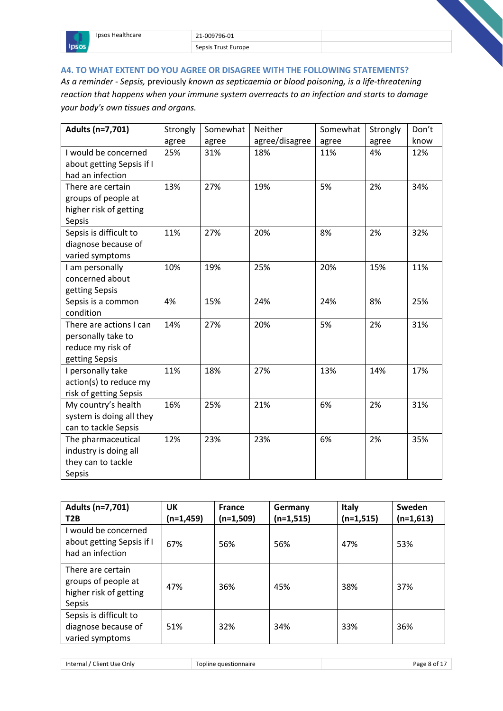

# **A4. TO WHAT EXTENT DO YOU AGREE OR DISAGREE WITH THE FOLLOWING STATEMENTS?**

*As a reminder - Sepsis,* previously *known as septicaemia or blood poisoning, is a life-threatening reaction that happens when your immune system overreacts to an infection and starts to damage your body's own tissues and organs.*

| Adults (n=7,701)          | Strongly | Somewhat | Neither        | Somewhat | Strongly | Don't |
|---------------------------|----------|----------|----------------|----------|----------|-------|
|                           | agree    | agree    | agree/disagree | agree    | agree    | know  |
| I would be concerned      | 25%      | 31%      | 18%            | 11%      | 4%       | 12%   |
| about getting Sepsis if I |          |          |                |          |          |       |
| had an infection          |          |          |                |          |          |       |
| There are certain         | 13%      | 27%      | 19%            | 5%       | 2%       | 34%   |
| groups of people at       |          |          |                |          |          |       |
| higher risk of getting    |          |          |                |          |          |       |
| Sepsis                    |          |          |                |          |          |       |
| Sepsis is difficult to    | 11%      | 27%      | 20%            | 8%       | 2%       | 32%   |
| diagnose because of       |          |          |                |          |          |       |
| varied symptoms           |          |          |                |          |          |       |
| I am personally           | 10%      | 19%      | 25%            | 20%      | 15%      | 11%   |
| concerned about           |          |          |                |          |          |       |
| getting Sepsis            |          |          |                |          |          |       |
| Sepsis is a common        | 4%       | 15%      | 24%            | 24%      | 8%       | 25%   |
| condition                 |          |          |                |          |          |       |
| There are actions I can   | 14%      | 27%      | 20%            | 5%       | 2%       | 31%   |
| personally take to        |          |          |                |          |          |       |
| reduce my risk of         |          |          |                |          |          |       |
| getting Sepsis            |          |          |                |          |          |       |
| I personally take         | 11%      | 18%      | 27%            | 13%      | 14%      | 17%   |
| action(s) to reduce my    |          |          |                |          |          |       |
| risk of getting Sepsis    |          |          |                |          |          |       |
| My country's health       | 16%      | 25%      | 21%            | 6%       | 2%       | 31%   |
| system is doing all they  |          |          |                |          |          |       |
| can to tackle Sepsis      |          |          |                |          |          |       |
| The pharmaceutical        | 12%      | 23%      | 23%            | 6%       | 2%       | 35%   |
| industry is doing all     |          |          |                |          |          |       |
| they can to tackle        |          |          |                |          |          |       |
| Sepsis                    |          |          |                |          |          |       |

| Adults (n=7,701)<br>T <sub>2</sub> B                                         | UΚ<br>(n=1,459) | <b>France</b><br>$(n=1,509)$ | Germany<br>$(n=1,515)$ | Italy<br>$(n=1,515)$ | Sweden<br>$(n=1,613)$ |
|------------------------------------------------------------------------------|-----------------|------------------------------|------------------------|----------------------|-----------------------|
| I would be concerned<br>about getting Sepsis if I<br>had an infection        | 67%             | 56%                          | 56%                    | 47%                  | 53%                   |
| There are certain<br>groups of people at<br>higher risk of getting<br>Sepsis | 47%             | 36%                          | 45%                    | 38%                  | 37%                   |
| Sepsis is difficult to<br>diagnose because of<br>varied symptoms             | 51%             | 32%                          | 34%                    | 33%                  | 36%                   |

Internal / Client Use Only Topline questionnaire **Page 8 of 17** and 17 and 18 and 18 and 17 and 18 and 17 and 18 and 18 and 18 and 18 and 18 and 18 and 18 and 18 and 18 and 18 and 18 and 18 and 18 and 18 and 18 and 18 and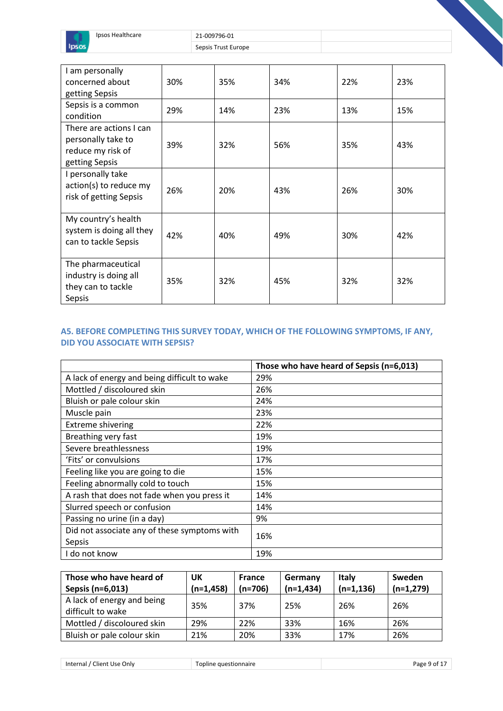

| I am personally<br>concerned about<br>getting Sepsis                                 | 30% | 35% | 34% | 22% | 23% |
|--------------------------------------------------------------------------------------|-----|-----|-----|-----|-----|
| Sepsis is a common<br>condition                                                      | 29% | 14% | 23% | 13% | 15% |
| There are actions I can<br>personally take to<br>reduce my risk of<br>getting Sepsis | 39% | 32% | 56% | 35% | 43% |
| I personally take<br>action(s) to reduce my<br>risk of getting Sepsis                | 26% | 20% | 43% | 26% | 30% |
| My country's health<br>system is doing all they<br>can to tackle Sepsis              | 42% | 40% | 49% | 30% | 42% |
| The pharmaceutical<br>industry is doing all<br>they can to tackle<br>Sepsis          | 35% | 32% | 45% | 32% | 32% |

# **A5. BEFORE COMPLETING THIS SURVEY TODAY, WHICH OF THE FOLLOWING SYMPTOMS, IF ANY, DID YOU ASSOCIATE WITH SEPSIS?**

|                                              | Those who have heard of Sepsis (n=6,013) |
|----------------------------------------------|------------------------------------------|
| A lack of energy and being difficult to wake | 29%                                      |
| Mottled / discoloured skin                   | 26%                                      |
| Bluish or pale colour skin                   | 24%                                      |
| Muscle pain                                  | 23%                                      |
| <b>Extreme shivering</b>                     | 22%                                      |
| Breathing very fast                          | 19%                                      |
| Severe breathlessness                        | 19%                                      |
| 'Fits' or convulsions                        | 17%                                      |
| Feeling like you are going to die            | 15%                                      |
| Feeling abnormally cold to touch             | 15%                                      |
| A rash that does not fade when you press it  | 14%                                      |
| Slurred speech or confusion                  | 14%                                      |
| Passing no urine (in a day)                  | 9%                                       |
| Did not associate any of these symptoms with |                                          |
| Sepsis                                       | 16%                                      |
| I do not know                                | 19%                                      |

| Those who have heard of                         | UK          | <b>France</b> | Germany     | Italy        | Sweden      |
|-------------------------------------------------|-------------|---------------|-------------|--------------|-------------|
| Sepsis (n=6,013)                                | $(n=1,458)$ | $(n=706)$     | $(n=1,434)$ | $(n=1, 136)$ | $(n=1,279)$ |
| A lack of energy and being<br>difficult to wake | 35%         | 37%           | 25%         | 26%          | 26%         |
| Mottled / discoloured skin                      | 29%         | 22%           | 33%         | 16%          | 26%         |
| Bluish or pale colour skin                      | 21%         | 20%           | 33%         | 17%          | 26%         |

Internal / Client Use Only **Page 9 of 17** Topline questionnaire **Page 9 of 17** Page 9 of 17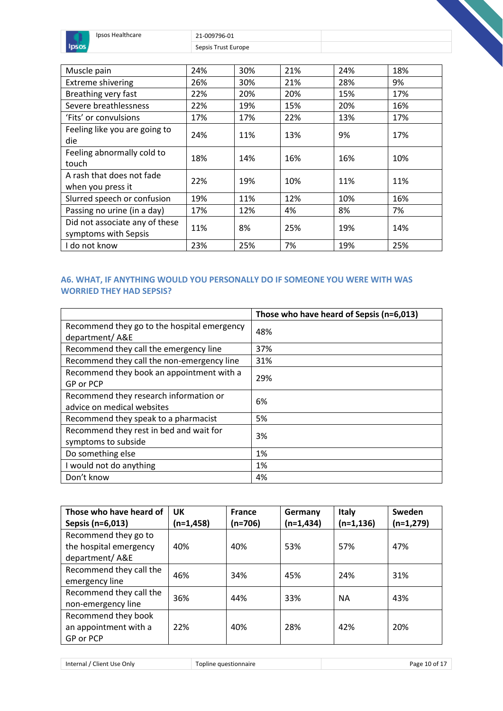

| Muscle pain                                            | 24% | 30% | 21% | 24% | 18% |
|--------------------------------------------------------|-----|-----|-----|-----|-----|
| <b>Extreme shivering</b>                               | 26% | 30% | 21% | 28% | 9%  |
| Breathing very fast                                    | 22% | 20% | 20% | 15% | 17% |
| Severe breathlessness                                  | 22% | 19% | 15% | 20% | 16% |
| 'Fits' or convulsions                                  | 17% | 17% | 22% | 13% | 17% |
| Feeling like you are going to<br>die                   | 24% | 11% | 13% | 9%  | 17% |
| Feeling abnormally cold to<br>touch                    | 18% | 14% | 16% | 16% | 10% |
| A rash that does not fade<br>when you press it         | 22% | 19% | 10% | 11% | 11% |
| Slurred speech or confusion                            | 19% | 11% | 12% | 10% | 16% |
| Passing no urine (in a day)                            | 17% | 12% | 4%  | 8%  | 7%  |
| Did not associate any of these<br>symptoms with Sepsis | 11% | 8%  | 25% | 19% | 14% |
| I do not know                                          | 23% | 25% | 7%  | 19% | 25% |

# **A6. WHAT, IF ANYTHING WOULD YOU PERSONALLY DO IF SOMEONE YOU WERE WITH WAS WORRIED THEY HAD SEPSIS?**

|                                                                      | Those who have heard of Sepsis (n=6,013) |
|----------------------------------------------------------------------|------------------------------------------|
| Recommend they go to the hospital emergency<br>department/A&E        | 48%                                      |
| Recommend they call the emergency line                               | 37%                                      |
| Recommend they call the non-emergency line                           | 31%                                      |
| Recommend they book an appointment with a<br>GP or PCP               | 29%                                      |
| Recommend they research information or<br>advice on medical websites | 6%                                       |
| Recommend they speak to a pharmacist                                 | 5%                                       |
| Recommend they rest in bed and wait for<br>symptoms to subside       | 3%                                       |
| Do something else                                                    | 1%                                       |
| I would not do anything                                              | 1%                                       |
| Don't know                                                           | 4%                                       |

| Those who have heard of | <b>UK</b>   | <b>France</b> | Germany     | <b>Italy</b> | Sweden      |
|-------------------------|-------------|---------------|-------------|--------------|-------------|
| Sepsis (n=6,013)        | $(n=1,458)$ | $(n=706)$     | $(n=1,434)$ | $(n=1, 136)$ | $(n=1,279)$ |
| Recommend they go to    |             |               |             |              |             |
| the hospital emergency  | 40%         | 40%           | 53%         | 57%          | 47%         |
| department/A&E          |             |               |             |              |             |
| Recommend they call the | 46%         | 34%           | 45%         | 24%          | 31%         |
| emergency line          |             |               |             |              |             |
| Recommend they call the | 36%         | 44%           | 33%         | ΝA           | 43%         |
| non-emergency line      |             |               |             |              |             |
| Recommend they book     |             |               |             |              |             |
| an appointment with a   | 22%         | 40%           | 28%         | 42%          | 20%         |
| GP or PCP               |             |               |             |              |             |

Internal / Client Use Only **Topline** questionnaire **Page 10 of 17** and 17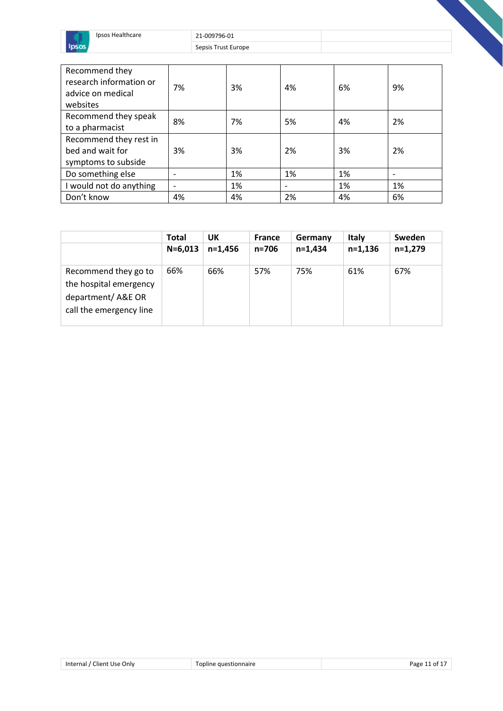

| Recommend they<br>research information or<br>advice on medical<br>websites | 7% | 3% | 4% | 6% | 9% |
|----------------------------------------------------------------------------|----|----|----|----|----|
| Recommend they speak<br>to a pharmacist                                    | 8% | 7% | 5% | 4% | 2% |
| Recommend they rest in<br>bed and wait for<br>symptoms to subside          | 3% | 3% | 2% | 3% | 2% |
| Do something else                                                          |    | 1% | 1% | 1% |    |
| I would not do anything                                                    |    | 1% |    | 1% | 1% |
| Don't know                                                                 | 4% | 4% | 2% | 4% | 6% |

|                                                                                                | <b>Total</b> | UK        | <b>France</b> | Germany   | <b>Italy</b> | Sweden    |
|------------------------------------------------------------------------------------------------|--------------|-----------|---------------|-----------|--------------|-----------|
|                                                                                                | $N = 6,013$  | $n=1.456$ | $n = 706$     | $n=1.434$ | $n=1,136$    | $n=1,279$ |
| Recommend they go to<br>the hospital emergency<br>department/A&E OR<br>call the emergency line | 66%          | 66%       | 57%           | 75%       | 61%          | 67%       |

| Internal<br>Client Use Only . | stionnaire<br>ורזרז | ∩Ť<br>aø |
|-------------------------------|---------------------|----------|
|                               |                     |          |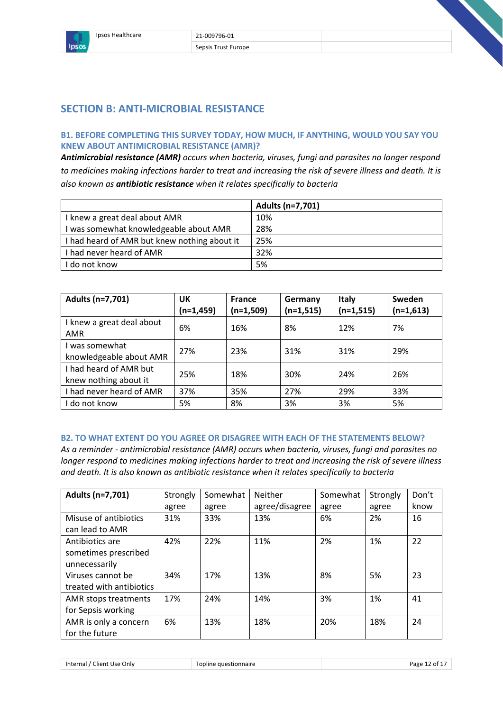

# **SECTION B: ANTI-MICROBIAL RESISTANCE**

## **B1. BEFORE COMPLETING THIS SURVEY TODAY, HOW MUCH, IF ANYTHING, WOULD YOU SAY YOU KNEW ABOUT ANTIMICROBIAL RESISTANCE (AMR)?**

*Antimicrobial resistance (AMR) occurs when bacteria, viruses, fungi and parasites no longer respond to medicines making infections harder to treat and increasing the risk of severe illness and death. It is also known as antibiotic resistance when it relates specifically to bacteria*

|                                              | Adults (n=7,701) |
|----------------------------------------------|------------------|
| I knew a great deal about AMR                | 10%              |
| I was somewhat knowledgeable about AMR       | 28%              |
| I had heard of AMR but knew nothing about it | 25%              |
| I had never heard of AMR                     | 32%              |
| I do not know                                | 5%               |

| Adults (n=7,701)                                | UK<br>$(n=1,459)$ | <b>France</b><br>$(n=1,509)$ | Germany<br>$(n=1,515)$ | <b>Italy</b><br>$(n=1,515)$ | Sweden<br>$(n=1,613)$ |
|-------------------------------------------------|-------------------|------------------------------|------------------------|-----------------------------|-----------------------|
| I knew a great deal about<br>AMR                | 6%                | 16%                          | 8%                     | 12%                         | 7%                    |
| I was somewhat<br>knowledgeable about AMR       | 27%               | 23%                          | 31%                    | 31%                         | 29%                   |
| I had heard of AMR but<br>knew nothing about it | 25%               | 18%                          | 30%                    | 24%                         | 26%                   |
| I had never heard of AMR                        | 37%               | 35%                          | 27%                    | 29%                         | 33%                   |
| I do not know                                   | 5%                | 8%                           | 3%                     | 3%                          | 5%                    |

#### **B2. TO WHAT EXTENT DO YOU AGREE OR DISAGREE WITH EACH OF THE STATEMENTS BELOW?**

*As a reminder - antimicrobial resistance (AMR) occurs when bacteria, viruses, fungi and parasites no longer respond to medicines making infections harder to treat and increasing the risk of severe illness and death. It is also known as antibiotic resistance when it relates specifically to bacteria*

| Adults (n=7,701)                                         | Strongly<br>agree | Somewhat<br>agree | <b>Neither</b><br>agree/disagree | Somewhat<br>agree | Strongly<br>agree | Don't<br>know |
|----------------------------------------------------------|-------------------|-------------------|----------------------------------|-------------------|-------------------|---------------|
| Misuse of antibiotics<br>can lead to AMR                 | 31%               | 33%               | 13%                              | 6%                | 2%                | 16            |
| Antibiotics are<br>sometimes prescribed<br>unnecessarily | 42%               | 22%               | 11%                              | 2%                | 1%                | 22            |
| Viruses cannot be<br>treated with antibiotics            | 34%               | 17%               | 13%                              | 8%                | 5%                | 23            |
| AMR stops treatments<br>for Sepsis working               | 17%               | 24%               | 14%                              | 3%                | 1%                | 41            |
| AMR is only a concern<br>for the future                  | 6%                | 13%               | 18%                              | 20%               | 18%               | 24            |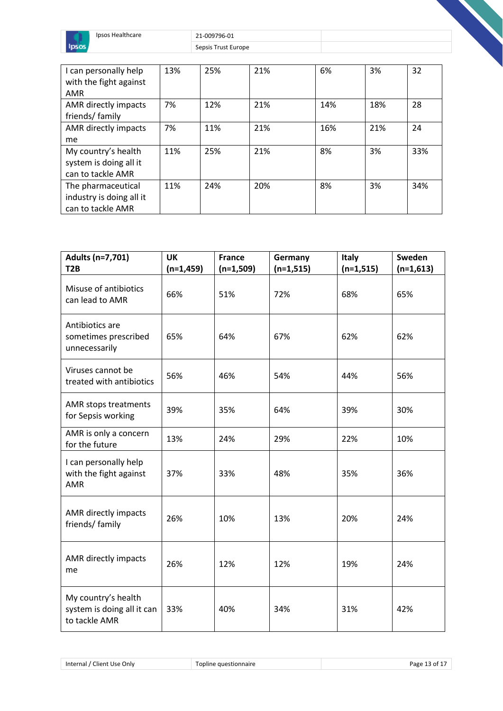

| I can personally help    | 13% | 25% | 21% | 6%  | 3%  | 32  |
|--------------------------|-----|-----|-----|-----|-----|-----|
| with the fight against   |     |     |     |     |     |     |
| AMR                      |     |     |     |     |     |     |
| AMR directly impacts     | 7%  | 12% | 21% | 14% | 18% | 28  |
| friends/family           |     |     |     |     |     |     |
| AMR directly impacts     | 7%  | 11% | 21% | 16% | 21% | 24  |
| me                       |     |     |     |     |     |     |
| My country's health      | 11% | 25% | 21% | 8%  | 3%  | 33% |
| system is doing all it   |     |     |     |     |     |     |
| can to tackle AMR        |     |     |     |     |     |     |
| The pharmaceutical       | 11% | 24% | 20% | 8%  | 3%  | 34% |
| industry is doing all it |     |     |     |     |     |     |
| can to tackle AMR        |     |     |     |     |     |     |

| Adults (n=7,701)<br>T <sub>2</sub> B                               | <b>UK</b><br>$(n=1,459)$ | <b>France</b><br>$(n=1,509)$ | Germany<br>$(n=1,515)$ | <b>Italy</b><br>$(n=1,515)$ | Sweden<br>$(n=1,613)$ |
|--------------------------------------------------------------------|--------------------------|------------------------------|------------------------|-----------------------------|-----------------------|
| Misuse of antibiotics<br>can lead to AMR                           | 66%                      | 51%                          | 72%                    | 68%                         | 65%                   |
| Antibiotics are<br>sometimes prescribed<br>unnecessarily           | 65%                      | 64%                          | 67%                    | 62%                         | 62%                   |
| Viruses cannot be<br>treated with antibiotics                      | 56%                      | 46%                          | 54%                    | 44%                         | 56%                   |
| AMR stops treatments<br>for Sepsis working                         | 39%                      | 35%                          | 64%                    | 39%                         | 30%                   |
| AMR is only a concern<br>for the future                            | 13%                      | 24%                          | 29%                    | 22%                         | 10%                   |
| I can personally help<br>with the fight against<br><b>AMR</b>      | 37%                      | 33%                          | 48%                    | 35%                         | 36%                   |
| AMR directly impacts<br>friends/ family                            | 26%                      | 10%                          | 13%                    | 20%                         | 24%                   |
| AMR directly impacts<br>me                                         | 26%                      | 12%                          | 12%                    | 19%                         | 24%                   |
| My country's health<br>system is doing all it can<br>to tackle AMR | 33%                      | 40%                          | 34%                    | 31%                         | 42%                   |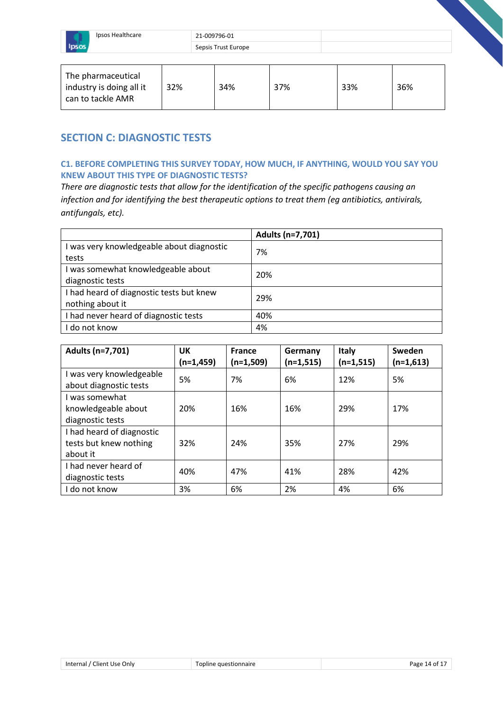

| The pharmaceutical<br>industry is doing all it<br>can to tackle AMR | 32% | 34% | 37% | 33% | 36% |
|---------------------------------------------------------------------|-----|-----|-----|-----|-----|
|---------------------------------------------------------------------|-----|-----|-----|-----|-----|

# **SECTION C: DIAGNOSTIC TESTS**

#### **C1. BEFORE COMPLETING THIS SURVEY TODAY, HOW MUCH, IF ANYTHING, WOULD YOU SAY YOU KNEW ABOUT THIS TYPE OF DIAGNOSTIC TESTS?**

*There are diagnostic tests that allow for the identification of the specific pathogens causing an infection and for identifying the best therapeutic options to treat them (eg antibiotics, antivirals, antifungals, etc).*

|                                           | Adults (n=7,701) |
|-------------------------------------------|------------------|
| I was very knowledgeable about diagnostic | 7%               |
| tests                                     |                  |
| I was somewhat knowledgeable about        | 20%              |
| diagnostic tests                          |                  |
| I had heard of diagnostic tests but knew  | 29%              |
| nothing about it                          |                  |
| I had never heard of diagnostic tests     | 40%              |
| I do not know                             | 4%               |

| Adults (n=7,701)                                                | <b>UK</b><br>(n=1,459) | <b>France</b><br>(n=1,509) | Germany<br>$(n=1,515)$ | Italy<br>$(n=1,515)$ | Sweden<br>$(n=1,613)$ |
|-----------------------------------------------------------------|------------------------|----------------------------|------------------------|----------------------|-----------------------|
| I was very knowledgeable<br>about diagnostic tests              | 5%                     | 7%                         | 6%                     | 12%                  | 5%                    |
| I was somewhat<br>knowledgeable about<br>diagnostic tests       | 20%                    | 16%                        | 16%                    | 29%                  | 17%                   |
| I had heard of diagnostic<br>tests but knew nothing<br>about it | 32%                    | 24%                        | 35%                    | 27%                  | 29%                   |
| I had never heard of<br>diagnostic tests                        | 40%                    | 47%                        | 41%                    | 28%                  | 42%                   |
| I do not know                                                   | 3%                     | 6%                         | 2%                     | 4%                   | 6%                    |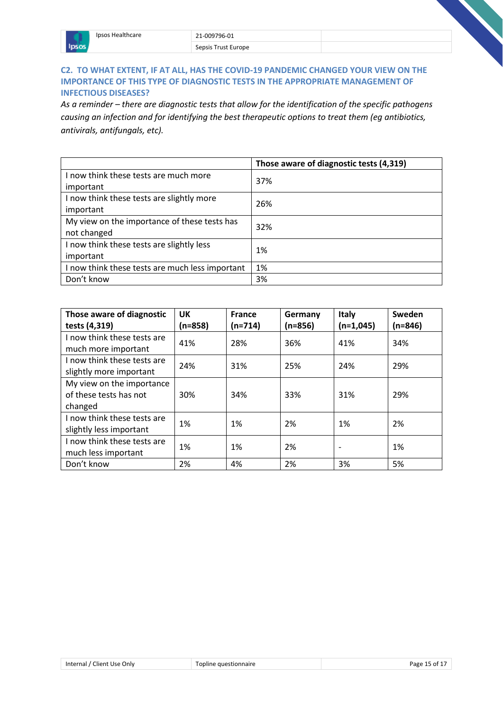# **C2. TO WHAT EXTENT, IF AT ALL, HAS THE COVID-19 PANDEMIC CHANGED YOUR VIEW ON THE IMPORTANCE OF THIS TYPE OF DIAGNOSTIC TESTS IN THE APPROPRIATE MANAGEMENT OF INFECTIOUS DISEASES?**

*As a reminder – there are diagnostic tests that allow for the identification of the specific pathogens causing an infection and for identifying the best therapeutic options to treat them (eg antibiotics, antivirals, antifungals, etc).*

|                                                 | Those aware of diagnostic tests (4,319) |  |
|-------------------------------------------------|-----------------------------------------|--|
| I now think these tests are much more           | 37%                                     |  |
| important                                       |                                         |  |
| I now think these tests are slightly more       | 26%                                     |  |
| important                                       |                                         |  |
| My view on the importance of these tests has    | 32%                                     |  |
| not changed                                     |                                         |  |
| I now think these tests are slightly less       | 1%                                      |  |
| important                                       |                                         |  |
| I now think these tests are much less important | 1%                                      |  |
| Don't know                                      | 3%                                      |  |

| Those aware of diagnostic<br>tests (4,319)                     | <b>UK</b><br>$(n=858)$ | <b>France</b><br>$(n=714)$ | Germany<br>$(n=856)$ | Italy<br>$(n=1,045)$ | Sweden<br>$(n=846)$ |
|----------------------------------------------------------------|------------------------|----------------------------|----------------------|----------------------|---------------------|
| I now think these tests are<br>much more important             | 41%                    | 28%                        | 36%                  | 41%                  | 34%                 |
| I now think these tests are<br>slightly more important         | 24%                    | 31%                        | 25%                  | 24%                  | 29%                 |
| My view on the importance<br>of these tests has not<br>changed | 30%                    | 34%                        | 33%                  | 31%                  | 29%                 |
| I now think these tests are<br>slightly less important         | 1%                     | 1%                         | 2%                   | 1%                   | 2%                  |
| I now think these tests are<br>much less important             | 1%                     | 1%                         | 2%                   |                      | 1%                  |
| Don't know                                                     | 2%                     | 4%                         | 2%                   | 3%                   | 5%                  |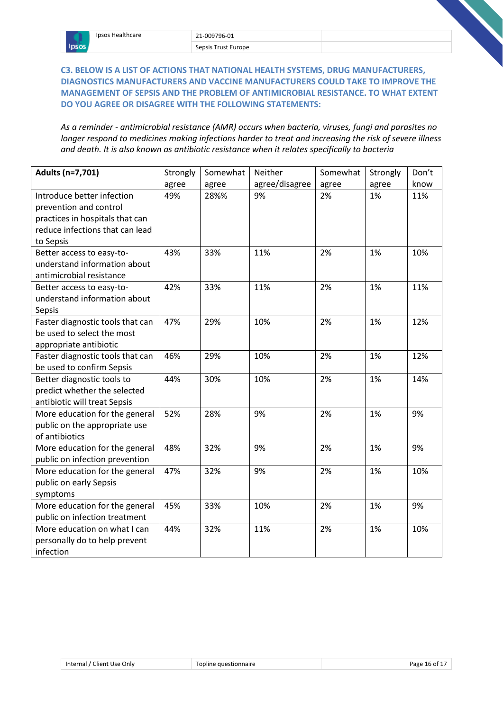# **C3. BELOW IS A LIST OF ACTIONS THAT NATIONAL HEALTH SYSTEMS, DRUG MANUFACTURERS, DIAGNOSTICS MANUFACTURERS AND VACCINE MANUFACTURERS COULD TAKE TO IMPROVE THE MANAGEMENT OF SEPSIS AND THE PROBLEM OF ANTIMICROBIAL RESISTANCE. TO WHAT EXTENT DO YOU AGREE OR DISAGREE WITH THE FOLLOWING STATEMENTS:**

*As a reminder - antimicrobial resistance (AMR) occurs when bacteria, viruses, fungi and parasites no longer respond to medicines making infections harder to treat and increasing the risk of severe illness and death. It is also known as antibiotic resistance when it relates specifically to bacteria*

| Adults (n=7,701)                 | Strongly | Somewhat | Neither        | Somewhat | Strongly | Don't |
|----------------------------------|----------|----------|----------------|----------|----------|-------|
|                                  | agree    | agree    | agree/disagree | agree    | agree    | know  |
| Introduce better infection       | 49%      | 28%%     | 9%             | 2%       | 1%       | 11%   |
| prevention and control           |          |          |                |          |          |       |
| practices in hospitals that can  |          |          |                |          |          |       |
| reduce infections that can lead  |          |          |                |          |          |       |
| to Sepsis                        |          |          |                |          |          |       |
| Better access to easy-to-        | 43%      | 33%      | 11%            | 2%       | 1%       | 10%   |
| understand information about     |          |          |                |          |          |       |
| antimicrobial resistance         |          |          |                |          |          |       |
| Better access to easy-to-        | 42%      | 33%      | 11%            | 2%       | 1%       | 11%   |
| understand information about     |          |          |                |          |          |       |
| Sepsis                           |          |          |                |          |          |       |
| Faster diagnostic tools that can | 47%      | 29%      | 10%            | 2%       | 1%       | 12%   |
| be used to select the most       |          |          |                |          |          |       |
| appropriate antibiotic           |          |          |                |          |          |       |
| Faster diagnostic tools that can | 46%      | 29%      | 10%            | 2%       | 1%       | 12%   |
| be used to confirm Sepsis        |          |          |                |          |          |       |
| Better diagnostic tools to       | 44%      | 30%      | 10%            | 2%       | 1%       | 14%   |
| predict whether the selected     |          |          |                |          |          |       |
| antibiotic will treat Sepsis     |          |          |                |          |          |       |
| More education for the general   | 52%      | 28%      | 9%             | 2%       | 1%       | 9%    |
| public on the appropriate use    |          |          |                |          |          |       |
| of antibiotics                   |          |          |                |          |          |       |
| More education for the general   | 48%      | 32%      | 9%             | 2%       | 1%       | 9%    |
| public on infection prevention   |          |          |                |          |          |       |
| More education for the general   | 47%      | 32%      | 9%             | 2%       | 1%       | 10%   |
| public on early Sepsis           |          |          |                |          |          |       |
| symptoms                         |          |          |                |          |          |       |
| More education for the general   | 45%      | 33%      | 10%            | 2%       | 1%       | 9%    |
| public on infection treatment    |          |          |                |          |          |       |
| More education on what I can     | 44%      | 32%      | 11%            | 2%       | 1%       | 10%   |
| personally do to help prevent    |          |          |                |          |          |       |
| infection                        |          |          |                |          |          |       |